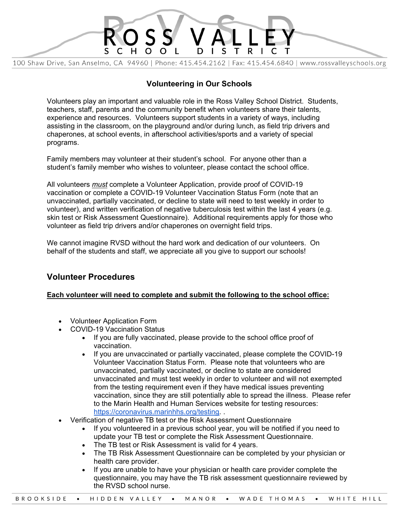

## **Volunteering in Our Schools**

Volunteers play an important and valuable role in the Ross Valley School District. Students, teachers, staff, parents and the community benefit when volunteers share their talents, experience and resources. Volunteers support students in a variety of ways, including assisting in the classroom, on the playground and/or during lunch, as field trip drivers and chaperones, at school events, in afterschool activities/sports and a variety of special programs.

Family members may volunteer at their student's school. For anyone other than a student's family member who wishes to volunteer, please contact the school office.

All volunteers *must* complete a Volunteer Application, provide proof of COVID-19 vaccination or complete a COVID-19 Volunteer Vaccination Status Form (note that an unvaccinated, partially vaccinated, or decline to state will need to test weekly in order to volunteer), and written verification of negative tuberculosis test within the last 4 years (e.g. skin test or Risk Assessment Questionnaire). Additional requirements apply for those who volunteer as field trip drivers and/or chaperones on overnight field trips.

We cannot imagine RVSD without the hard work and dedication of our volunteers. On behalf of the students and staff, we appreciate all you give to support our schools!

## **Volunteer Procedures**

#### **Each volunteer will need to complete and submit the following to the school office:**

- Volunteer Application Form
- COVID-19 Vaccination Status
	- If you are fully vaccinated, please provide to the school office proof of vaccination.
	- If you are unvaccinated or partially vaccinated, please complete the COVID-19 Volunteer Vaccination Status Form. Please note that volunteers who are unvaccinated, partially vaccinated, or decline to state are considered unvaccinated and must test weekly in order to volunteer and will not exempted from the testing requirement even if they have medical issues preventing vaccination, since they are still potentially able to spread the illness. Please refer to the Marin Health and Human Services website for testing resources: https://coronavirus.marinhhs.org/testing. .
- Verification of negative TB test or the Risk Assessment Questionnaire
	- If you volunteered in a previous school year, you will be notified if you need to update your TB test or complete the Risk Assessment Questionnaire.
	- The TB test or Risk Assessment is valid for 4 years.
	- The TB Risk Assessment Questionnaire can be completed by your physician or health care provider.
	- If you are unable to have your physician or health care provider complete the questionnaire, you may have the TB risk assessment questionnaire reviewed by the RVSD school nurse.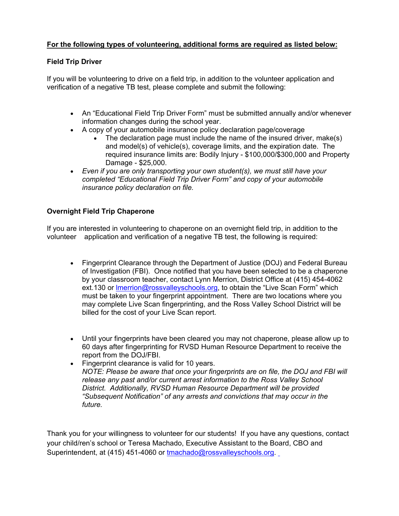#### **For the following types of volunteering, additional forms are required as listed below:**

#### **Field Trip Driver**

If you will be volunteering to drive on a field trip, in addition to the volunteer application and verification of a negative TB test, please complete and submit the following:

- An "Educational Field Trip Driver Form" must be submitted annually and/or whenever information changes during the school year.
- A copy of your automobile insurance policy declaration page/coverage
	- The declaration page must include the name of the insured driver, make(s) and model(s) of vehicle(s), coverage limits, and the expiration date. The required insurance limits are: Bodily Injury - \$100,000/\$300,000 and Property Damage - \$25,000.
- *Even if you are only transporting your own student(s), we must still have your completed "Educational Field Trip Driver Form" and copy of your automobile insurance policy declaration on file.*

#### **Overnight Field Trip Chaperone**

If you are interested in volunteering to chaperone on an overnight field trip, in addition to the volunteer application and verification of a negative TB test, the following is required:

- Fingerprint Clearance through the Department of Justice (DOJ) and Federal Bureau of Investigation (FBI). Once notified that you have been selected to be a chaperone by your classroom teacher, contact Lynn Merrion, District Office at (415) 454-4062 ext.130 or Imerrion@rossvalleyschools.org, to obtain the "Live Scan Form" which must be taken to your fingerprint appointment. There are two locations where you may complete Live Scan fingerprinting, and the Ross Valley School District will be billed for the cost of your Live Scan report.
- Until your fingerprints have been cleared you may not chaperone, please allow up to 60 days after fingerprinting for RVSD Human Resource Department to receive the report from the DOJ/FBI.
- Fingerprint clearance is valid for 10 years. *NOTE: Please be aware that once your fingerprints are on file, the DOJ and FBI will release any past and/or current arrest information to the Ross Valley School District. Additionally, RVSD Human Resource Department will be provided "Subsequent Notification" of any arrests and convictions that may occur in the future.*

Thank you for your willingness to volunteer for our students! If you have any questions, contact your child/ren's school or Teresa Machado, Executive Assistant to the Board, CBO and Superintendent, at (415) 451-4060 or tmachado@rossvalleyschools.org.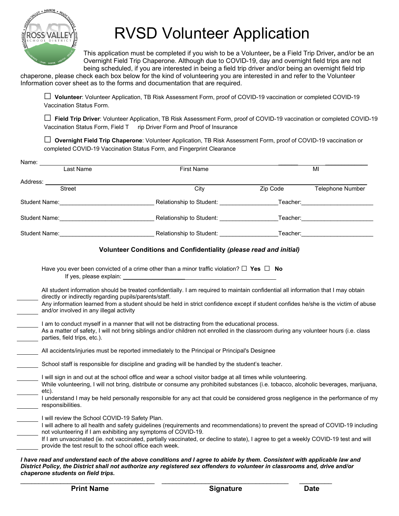

# **RVSD Volunteer Application**

This application must be completed if you wish to be a Volunteer**,** be a Field Trip Driver**,** and/or be an Overnight Field Trip Chaperone. Although due to COVID-19, day and overnight field trips are not being scheduled, if you are interested in being a field trip driver and/or being an overnight field trip

chaperone, please check each box below for the kind of volunteering you are interested in and refer to the Volunteer Information cover sheet as to the forms and documentation that are required.

**□ Volunteer**: Volunteer Application, TB Risk Assessment Form, proof of COVID-19 vaccination or completed COVID-19 Vaccination Status Form.

**□ Field Trip Driver**: Volunteer Application, TB Risk Assessment Form, proof of COVID-19 vaccination or completed COVID-19 Vaccination Status Form, Field T rip Driver Form and Proof of Insurance

**□ Overnight Field Trip Chaperone**: Volunteer Application, TB Risk Assessment Form, proof of COVID-19 vaccination or completed COVID-19 Vaccination Status Form, and Fingerprint Clearance

| Name:                                                                                                     |                                                                                                                                                                                                                                                                                                                                           |          |                  |
|-----------------------------------------------------------------------------------------------------------|-------------------------------------------------------------------------------------------------------------------------------------------------------------------------------------------------------------------------------------------------------------------------------------------------------------------------------------------|----------|------------------|
| Last Name                                                                                                 | <b>First Name</b>                                                                                                                                                                                                                                                                                                                         |          | MI               |
| Address: ___                                                                                              |                                                                                                                                                                                                                                                                                                                                           |          |                  |
| Street                                                                                                    | City                                                                                                                                                                                                                                                                                                                                      | Zip Code | Telephone Number |
|                                                                                                           | Student Name: Student Name: Student: Student: Student: Student Student Student Student Student Student: Student                                                                                                                                                                                                                           |          |                  |
|                                                                                                           | Student Name: Student Name: Student: Student: Student: Teacher: Student Name: Student Name: Student Student Student: Student Student Student Student Student Student Student Student Student Student Student Student Student S                                                                                                            |          |                  |
|                                                                                                           | Student Name: Contract Department of Contract Defendent Manuscription (Contract Defendent Operationship to Student: Contract Defendent: Contract Defendent Operationship to Student: Contract Defendent: Contract Defendent Op                                                                                                            |          |                  |
|                                                                                                           | Volunteer Conditions and Confidentiality (please read and initial)                                                                                                                                                                                                                                                                        |          |                  |
| If yes, please explain:                                                                                   | Have you ever been convicted of a crime other than a minor traffic violation? $\Box$ Yes $\Box$ No                                                                                                                                                                                                                                        |          |                  |
| directly or indirectly regarding pupils/parents/staff.<br>and/or involved in any illegal activity         | All student information should be treated confidentially. I am required to maintain confidential all information that I may obtain<br>Any information learned from a student should be held in strict confidence except if student confides he/she is the victim of abuse                                                                 |          |                  |
| parties, field trips, etc.).                                                                              | I am to conduct myself in a manner that will not be distracting from the educational process.<br>As a matter of safety, I will not bring siblings and/or children not enrolled in the classroom during any volunteer hours (i.e. class                                                                                                    |          |                  |
|                                                                                                           | All accidents/injuries must be reported immediately to the Principal or Principal's Designee                                                                                                                                                                                                                                              |          |                  |
|                                                                                                           | School staff is responsible for discipline and grading will be handled by the student's teacher.                                                                                                                                                                                                                                          |          |                  |
| etc).                                                                                                     | I will sign in and out at the school office and wear a school visitor badge at all times while volunteering.<br>While volunteering, I will not bring, distribute or consume any prohibited substances (i.e. tobacco, alcoholic beverages, marijuana,                                                                                      |          |                  |
| responsibilities.                                                                                         | I understand I may be held personally responsible for any act that could be considered gross negligence in the performance of my                                                                                                                                                                                                          |          |                  |
| I will review the School COVID-19 Safety Plan.<br>provide the test result to the school office each week. | I will adhere to all health and safety guidelines (requirements and recommendations) to prevent the spread of COVID-19 including<br>not volunteering if I am exhibiting any symptoms of COVID-19.<br>If I am unvaccinated (ie. not vaccinated, partially vaccinated, or decline to state), I agree to get a weekly COVID-19 test and will |          |                  |
| chaperone students on field trips.                                                                        | I have read and understand each of the above conditions and I agree to abide by them. Consistent with applicable law and<br>District Policy, the District shall not authorize any registered sex offenders to volunteer in classrooms and, drive and/or                                                                                   |          |                  |

 $\mathcal{L}_\mathcal{L} = \mathcal{L}_\mathcal{L} = \mathcal{L}_\mathcal{L} = \mathcal{L}_\mathcal{L} = \mathcal{L}_\mathcal{L} = \mathcal{L}_\mathcal{L} = \mathcal{L}_\mathcal{L} = \mathcal{L}_\mathcal{L} = \mathcal{L}_\mathcal{L} = \mathcal{L}_\mathcal{L} = \mathcal{L}_\mathcal{L} = \mathcal{L}_\mathcal{L} = \mathcal{L}_\mathcal{L} = \mathcal{L}_\mathcal{L} = \mathcal{L}_\mathcal{L} = \mathcal{L}_\mathcal{L} = \mathcal{L}_\mathcal{L}$